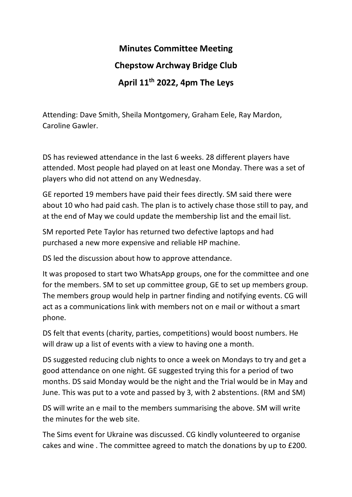## **Minutes Committee Meeting Chepstow Archway Bridge Club April 11th 2022, 4pm The Leys**

Attending: Dave Smith, Sheila Montgomery, Graham Eele, Ray Mardon, Caroline Gawler.

DS has reviewed attendance in the last 6 weeks. 28 different players have attended. Most people had played on at least one Monday. There was a set of players who did not attend on any Wednesday.

GE reported 19 members have paid their fees directly. SM said there were about 10 who had paid cash. The plan is to actively chase those still to pay, and at the end of May we could update the membership list and the email list.

SM reported Pete Taylor has returned two defective laptops and had purchased a new more expensive and reliable HP machine.

DS led the discussion about how to approve attendance.

It was proposed to start two WhatsApp groups, one for the committee and one for the members. SM to set up committee group, GE to set up members group. The members group would help in partner finding and notifying events. CG will act as a communications link with members not on e mail or without a smart phone.

DS felt that events (charity, parties, competitions) would boost numbers. He will draw up a list of events with a view to having one a month.

DS suggested reducing club nights to once a week on Mondays to try and get a good attendance on one night. GE suggested trying this for a period of two months. DS said Monday would be the night and the Trial would be in May and June. This was put to a vote and passed by 3, with 2 abstentions. (RM and SM)

DS will write an e mail to the members summarising the above. SM will write the minutes for the web site.

The Sims event for Ukraine was discussed. CG kindly volunteered to organise cakes and wine . The committee agreed to match the donations by up to £200.